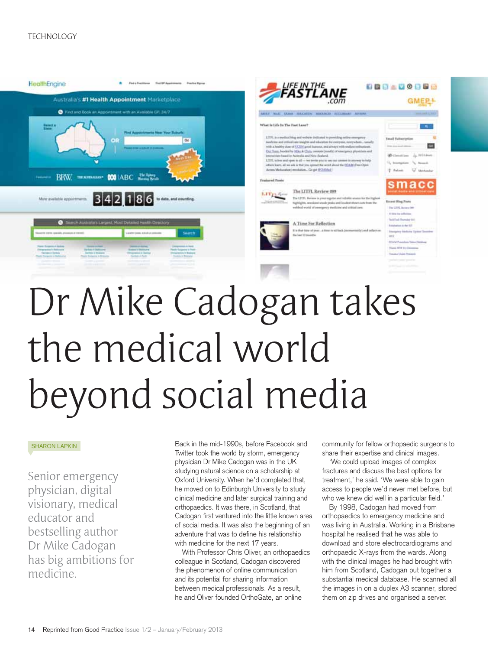#### TECHNOLOGY



# the medical world beyond social media

#### SHARON LAPKIN

Senior emergency physician, digital visionary, medical educator and bestselling author Dr Mike Cadogan has big ambitions for medicine.

Back in the mid-1990s, before Facebook and Twitter took the world by storm, emergency physician Dr Mike Cadogan was in the UK studying natural science on a scholarship at Oxford University. When he'd completed that, he moved on to Edinburgh University to study clinical medicine and later surgical training and orthopaedics. It was there, in Scotland, that Cadogan first ventured into the little known area of social media. It was also the beginning of an adventure that was to define his relationship with medicine for the next 17 years.

With Professor Chris Oliver, an orthopaedics colleague in Scotland, Cadogan discovered the phenomenon of online communication and its potential for sharing information between medical professionals. As a result, he and Oliver founded OrthoGate, an online

community for fellow orthopaedic surgeons to share their expertise and clinical images.

'We could upload images of complex fractures and discuss the best options for treatment,' he said. 'We were able to gain access to people we'd never met before, but who we knew did well in a particular field.'

By 1998, Cadogan had moved from orthopaedics to emergency medicine and was living in Australia. Working in a Brisbane hospital he realised that he was able to download and store electrocardiograms and orthopaedic X-rays from the wards. Along with the clinical images he had brought with him from Scotland, Cadogan put together a substantial medical database. He scanned all the images in on a duplex A3 scanner, stored them on zip drives and organised a server.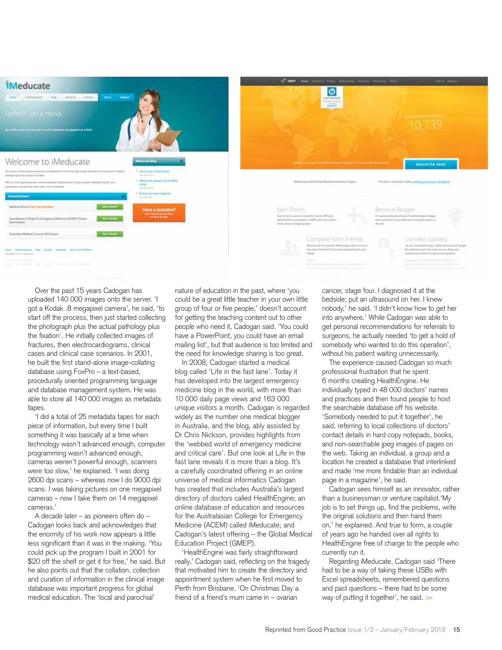

Over the past 15 years Cadogan has uploaded 140 000 images onto the server. 'I got a Kodak .8 megapixel camera', he said, 'to start off the process, then just started collecting the photograph plus the actual pathology plus the fixation'. He initially collected images of fractures, then electrocardiograms, clinical cases and clinical case scenarios. In 2001, he built the first stand-alone image-collating database using FoxPro – a text-based, procedurally oriented programming language and database management system. He was able to store all 140 000 images as metadata tapes.

'I did a total of 25 metadata tapes for each piece of information, but every time I built something it was basically at a time when technology wasn't advanced enough, computer programming wasn't advanced enough, cameras weren't powerful enough, scanners were too slow,' he explained. 'I was doing 2600 dpi scans – whereas now I do 9000 dpi scans. I was taking pictures on one megapixel cameras – now I take them on 14 megapixel cameras.'

A decade later – as pioneers often do – Cadogan looks back and acknowledges that the enormity of his work now appears a little less significant than it was in the making. 'You could pick up the program I built in 2001 for \$20 off the shelf or get it for free,' he said. But he also points out that the collation, collection and curation of information in the clinical image database was important progress for global medical education. The 'local and parochial'

nature of education in the past, where 'you could be a great little teacher in your own little group of four or five people,' doesn't account for getting the teaching content out to other people who need it, Cadogan said. 'You could have a PowerPoint, you could have an email mailing list', but that audience is too limited and the need for knowledge sharing is too great.

In 2008, Cadogan started a medical blog called 'Life in the fast lane'. Today it has developed into the largest emergency medicine blog in the world, with more than 10 000 daily page views and 163 000 unique visitors a month. Cadogan is regarded widely as the number one medical blogger in Australia, and the blog, ably assisted by Dr Chris Nickson, provides highlights from the 'webbed world of emergency medicine and critical care'. But one look at Life in the fast lane reveals it is more than a blog. It's a carefully coordinated offering in an online universe of medical informatics Cadogan has created that includes Australia's largest directory of doctors called HealthEngine; an online database of education and resources for the Australasian College for Emergency Medicine (ACEM) called iMeducate; and Cadogan's latest offering – the Global Medical Education Project (GMEP).

'HealthEngine was fairly straightforward really,' Cadogan said, reflecting on the tragedy that motivated him to create the directory and appointment system when he first moved to Perth from Brisbane. 'On Christmas Day a friend of a friend's mum came in – ovarian

cancer, stage four. I diagnosed it at the bedside; put an ultrasound on her. I knew nobody,' he said. 'I didn't know how to get her into anywhere.' While Cadogan was able to get personal recommendations for referrals to surgeons, he actually needed 'to get a hold of somebody who wanted to do this operation', without his patient waiting unnecessarily.

The experience caused Cadogan so much professional frustration that he spent 6 months creating HealthEngine. He individually typed in 48 000 doctors' names and practices and then found people to host the searchable database off his website. 'Somebody needed to put it together', he said, referring to local collections of doctors' contact details in hard copy notepads, books, and non-searchable jpeg images of pages on the web. Taking an individual, a group and a location he created a database that interlinked and made 'me more findable than an individual page in a magazine', he said.

Cadogan sees himself as an innovator, rather than a businessman or venture capitalist.'My job is to set things up, find the problems, write the original solutions and then hand them on,' he explained. And true to form, a couple of years ago he handed over all rights to HealthEngine free of charge to the people who currently run it.

Regarding iMeducate, Cadogan said 'There had to be a way of taking these USBs with Excel spreadsheets, remembered questions and past questions – there had to be some way of putting it together', he said.  $\gg$